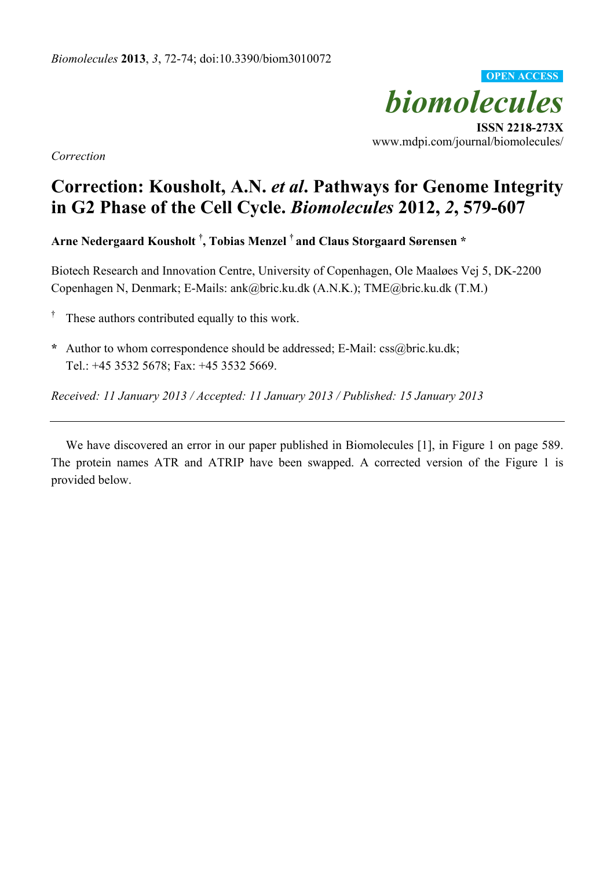

**ISSN 2218-273X**  www.mdpi.com/journal/biomolecules/

*Correction* 

## **Correction: Kousholt, A.N.** *et al***. Pathways for Genome Integrity in G2 Phase of the Cell Cycle.** *Biomolecules* **2012,** *2***, 579-607**

**Arne Nedergaard Kousholt † , Tobias Menzel † and Claus Storgaard Sørensen \*** 

Biotech Research and Innovation Centre, University of Copenhagen, Ole Maaløes Vej 5, DK-2200 Copenhagen N, Denmark; E-Mails: ank@bric.ku.dk (A.N.K.); TME@bric.ku.dk (T.M.)

- † These authors contributed equally to this work.
- **\*** Author to whom correspondence should be addressed; E-Mail: css@bric.ku.dk; Tel.: +45 3532 5678; Fax: +45 3532 5669.

*Received: 11 January 2013 / Accepted: 11 January 2013 / Published: 15 January 2013* 

We have discovered an error in our paper published in Biomolecules [1], in Figure 1 on page 589. The protein names ATR and ATRIP have been swapped. A corrected version of the Figure 1 is provided below.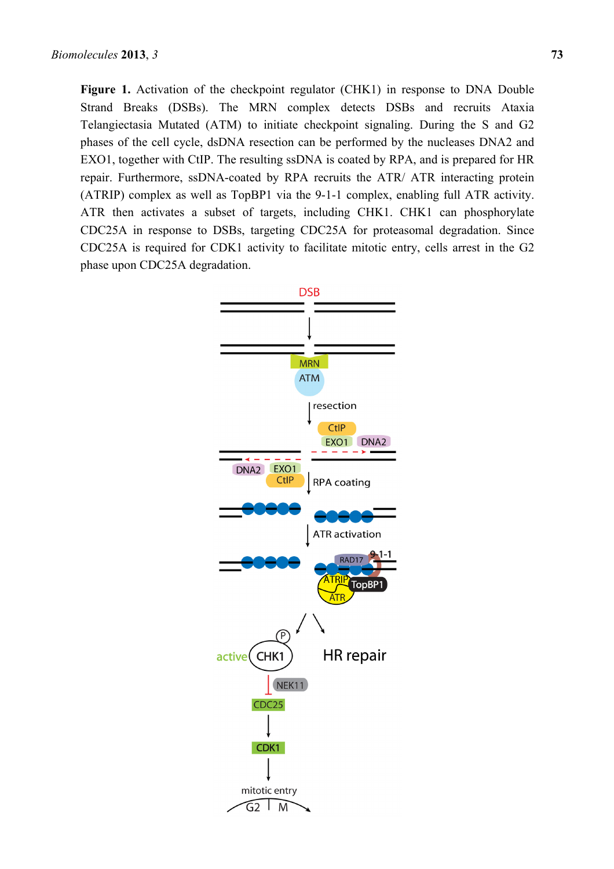**Figure 1.** Activation of the checkpoint regulator (CHK1) in response to DNA Double Strand Breaks (DSBs). The MRN complex detects DSBs and recruits Ataxia Telangiectasia Mutated (ATM) to initiate checkpoint signaling. During the S and G2 phases of the cell cycle, dsDNA resection can be performed by the nucleases DNA2 and EXO1, together with CtIP. The resulting ssDNA is coated by RPA, and is prepared for HR repair. Furthermore, ssDNA-coated by RPA recruits the ATR/ ATR interacting protein (ATRIP) complex as well as TopBP1 via the 9-1-1 complex, enabling full ATR activity. ATR then activates a subset of targets, including CHK1. CHK1 can phosphorylate CDC25A in response to DSBs, targeting CDC25A for proteasomal degradation. Since CDC25A is required for CDK1 activity to facilitate mitotic entry, cells arrest in the G2 phase upon CDC25A degradation.